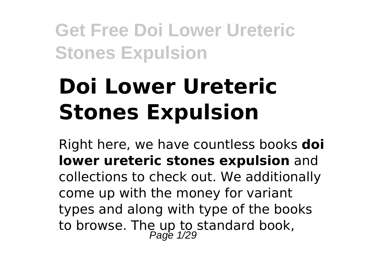# **Doi Lower Ureteric Stones Expulsion**

Right here, we have countless books **doi lower ureteric stones expulsion** and collections to check out. We additionally come up with the money for variant types and along with type of the books to browse. The up to standard book,<br>Page 1/29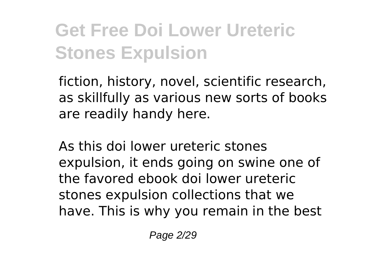fiction, history, novel, scientific research, as skillfully as various new sorts of books are readily handy here.

As this doi lower ureteric stones expulsion, it ends going on swine one of the favored ebook doi lower ureteric stones expulsion collections that we have. This is why you remain in the best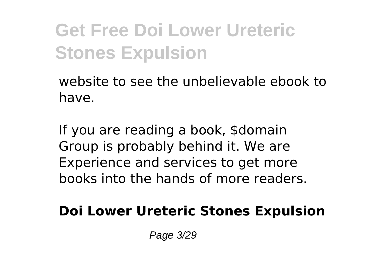website to see the unbelievable ebook to have.

If you are reading a book, \$domain Group is probably behind it. We are Experience and services to get more books into the hands of more readers.

**Doi Lower Ureteric Stones Expulsion**

Page 3/29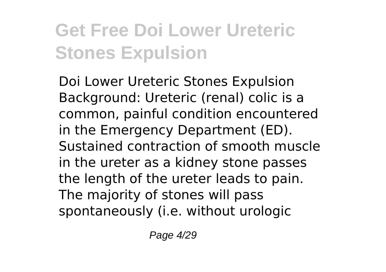Doi Lower Ureteric Stones Expulsion Background: Ureteric (renal) colic is a common, painful condition encountered in the Emergency Department (ED). Sustained contraction of smooth muscle in the ureter as a kidney stone passes the length of the ureter leads to pain. The majority of stones will pass spontaneously (i.e. without urologic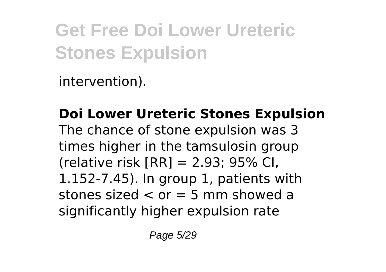intervention).

**Doi Lower Ureteric Stones Expulsion** The chance of stone expulsion was 3 times higher in the tamsulosin group (relative risk  $[RR] = 2.93$ ; 95% CI. 1.152-7.45). In group 1, patients with stones sized  $\lt$  or  $=$  5 mm showed a significantly higher expulsion rate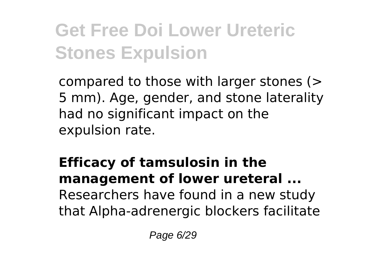compared to those with larger stones (> 5 mm). Age, gender, and stone laterality had no significant impact on the expulsion rate.

#### **Efficacy of tamsulosin in the management of lower ureteral ...** Researchers have found in a new study that Alpha-adrenergic blockers facilitate

Page 6/29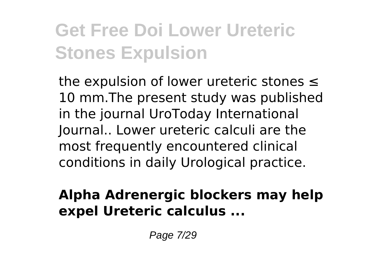the expulsion of lower ureteric stones ≤ 10 mm.The present study was published in the journal UroToday International Journal.. Lower ureteric calculi are the most frequently encountered clinical conditions in daily Urological practice.

#### **Alpha Adrenergic blockers may help expel Ureteric calculus ...**

Page 7/29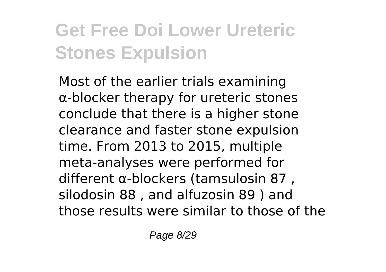Most of the earlier trials examining α‐blocker therapy for ureteric stones conclude that there is a higher stone clearance and faster stone expulsion time. From 2013 to 2015, multiple meta‐analyses were performed for different α‐blockers (tamsulosin 87 , silodosin 88 , and alfuzosin 89 ) and those results were similar to those of the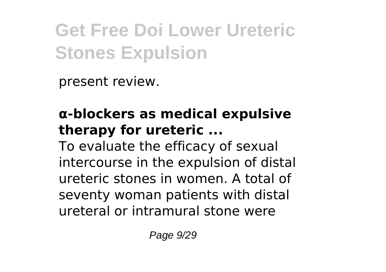present review.

#### **α‐blockers as medical expulsive therapy for ureteric ...**

To evaluate the efficacy of sexual intercourse in the expulsion of distal ureteric stones in women. A total of seventy woman patients with distal ureteral or intramural stone were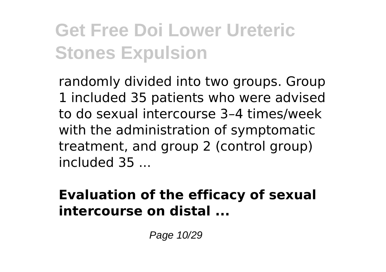randomly divided into two groups. Group 1 included 35 patients who were advised to do sexual intercourse 3–4 times/week with the administration of symptomatic treatment, and group 2 (control group) included 35 ...

#### **Evaluation of the efficacy of sexual intercourse on distal ...**

Page 10/29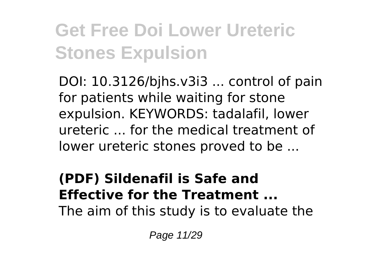DOI: 10.3126/bjhs.v3i3 ... control of pain for patients while waiting for stone expulsion. KEYWORDS: tadalafil, lower ureteric ... for the medical treatment of lower ureteric stones proved to be ...

#### **(PDF) Sildenafil is Safe and Effective for the Treatment ...** The aim of this study is to evaluate the

Page 11/29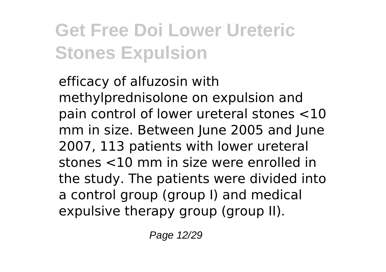efficacy of alfuzosin with methylprednisolone on expulsion and pain control of lower ureteral stones <10 mm in size. Between June 2005 and June 2007, 113 patients with lower ureteral stones <10 mm in size were enrolled in the study. The patients were divided into a control group (group I) and medical expulsive therapy group (group II).

Page 12/29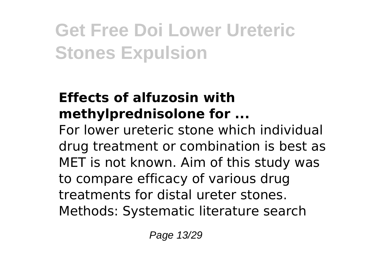#### **Effects of alfuzosin with methylprednisolone for ...**

For lower ureteric stone which individual drug treatment or combination is best as MET is not known. Aim of this study was to compare efficacy of various drug treatments for distal ureter stones. Methods: Systematic literature search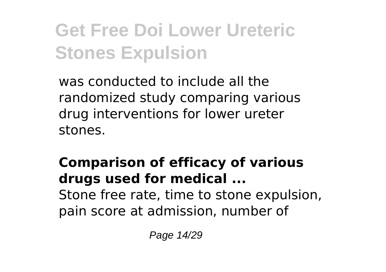was conducted to include all the randomized study comparing various drug interventions for lower ureter stones.

#### **Comparison of efficacy of various drugs used for medical ...** Stone free rate, time to stone expulsion, pain score at admission, number of

Page 14/29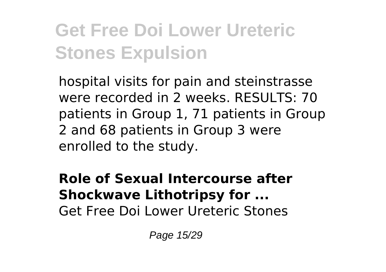hospital visits for pain and steinstrasse were recorded in 2 weeks. RESULTS: 70 patients in Group 1, 71 patients in Group 2 and 68 patients in Group 3 were enrolled to the study.

#### **Role of Sexual Intercourse after Shockwave Lithotripsy for ...** Get Free Doi Lower Ureteric Stones

Page 15/29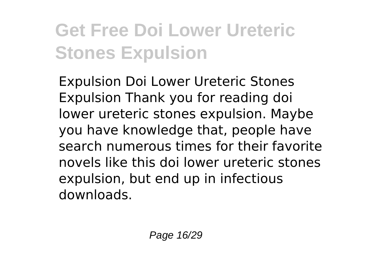Expulsion Doi Lower Ureteric Stones Expulsion Thank you for reading doi lower ureteric stones expulsion. Maybe you have knowledge that, people have search numerous times for their favorite novels like this doi lower ureteric stones expulsion, but end up in infectious downloads.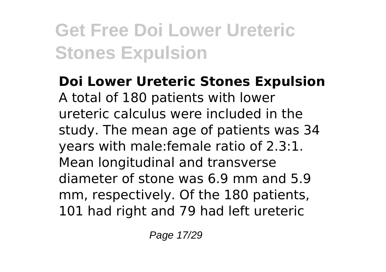**Doi Lower Ureteric Stones Expulsion** A total of 180 patients with lower ureteric calculus were included in the study. The mean age of patients was 34 years with male:female ratio of 2.3:1. Mean longitudinal and transverse diameter of stone was 6.9 mm and 5.9 mm, respectively. Of the 180 patients, 101 had right and 79 had left ureteric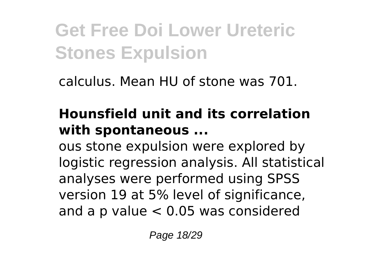calculus. Mean HU of stone was 701.

#### **Hounsfield unit and its correlation with spontaneous ...**

ous stone expulsion were explored by logistic regression analysis. All statistical analyses were performed using SPSS version 19 at 5% level of significance, and a p value < 0.05 was considered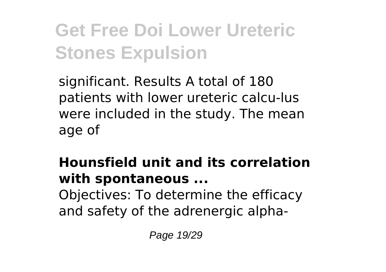significant. Results A total of 180 patients with lower ureteric calcu-lus were included in the study. The mean age of

#### **Hounsfield unit and its correlation with spontaneous ...** Objectives: To determine the efficacy and safety of the adrenergic alpha-

Page 19/29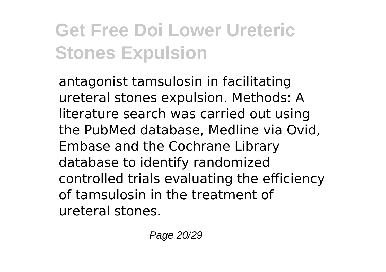antagonist tamsulosin in facilitating ureteral stones expulsion. Methods: A literature search was carried out using the PubMed database, Medline via Ovid, Embase and the Cochrane Library database to identify randomized controlled trials evaluating the efficiency of tamsulosin in the treatment of ureteral stones.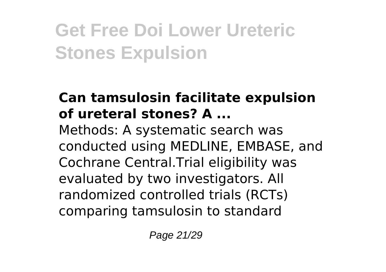#### **Can tamsulosin facilitate expulsion of ureteral stones? A ...**

Methods: A systematic search was conducted using MEDLINE, EMBASE, and Cochrane Central.Trial eligibility was evaluated by two investigators. All randomized controlled trials (RCTs) comparing tamsulosin to standard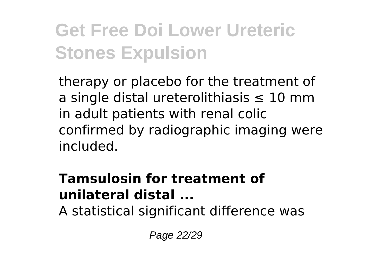therapy or placebo for the treatment of a single distal ureterolithiasis ≤ 10 mm in adult patients with renal colic confirmed by radiographic imaging were included.

#### **Tamsulosin for treatment of unilateral distal ...**

A statistical significant difference was

Page 22/29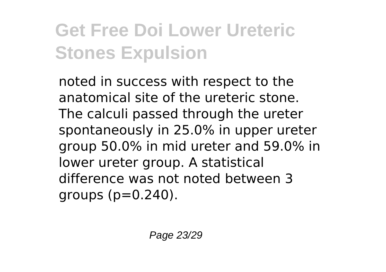noted in success with respect to the anatomical site of the ureteric stone. The calculi passed through the ureter spontaneously in 25.0% in upper ureter group 50.0% in mid ureter and 59.0% in lower ureter group. A statistical difference was not noted between 3 groups  $(p=0.240)$ .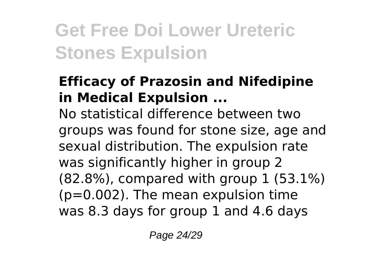#### **Efficacy of Prazosin and Nifedipine in Medical Expulsion ...**

No statistical difference between two groups was found for stone size, age and sexual distribution. The expulsion rate was significantly higher in group 2 (82.8%), compared with group 1 (53.1%) (p=0.002). The mean expulsion time was 8.3 days for group 1 and 4.6 days

Page 24/29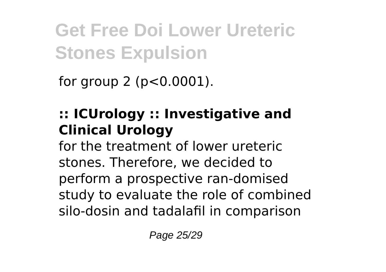for group 2 ( $p < 0.0001$ ).

#### **:: ICUrology :: Investigative and Clinical Urology**

for the treatment of lower ureteric stones. Therefore, we decided to perform a prospective ran-domised study to evaluate the role of combined silo-dosin and tadalafil in comparison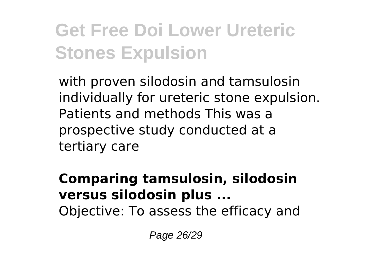with proven silodosin and tamsulosin individually for ureteric stone expulsion. Patients and methods This was a prospective study conducted at a tertiary care

#### **Comparing tamsulosin, silodosin versus silodosin plus ...** Objective: To assess the efficacy and

Page 26/29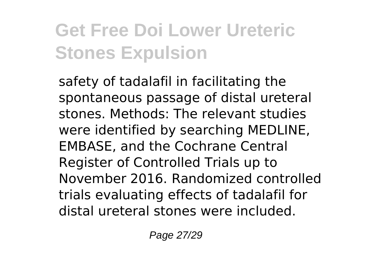safety of tadalafil in facilitating the spontaneous passage of distal ureteral stones. Methods: The relevant studies were identified by searching MEDLINE, EMBASE, and the Cochrane Central Register of Controlled Trials up to November 2016. Randomized controlled trials evaluating effects of tadalafil for distal ureteral stones were included.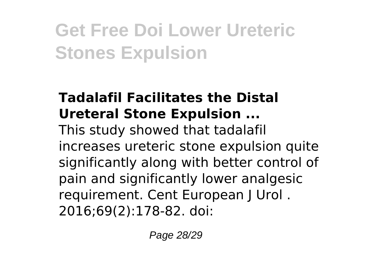#### **Tadalafil Facilitates the Distal Ureteral Stone Expulsion ...**

This study showed that tadalafil increases ureteric stone expulsion quite significantly along with better control of pain and significantly lower analgesic requirement. Cent European J Urol . 2016;69(2):178-82. doi: